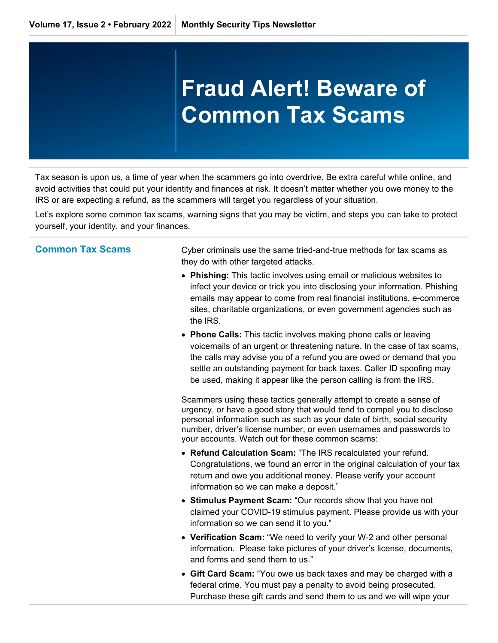## **Fraud Alert! Beware of Common Tax Scams**

Tax season is upon us, a time of year when the scammers go into overdrive. Be extra careful while online, and avoid activities that could put your identity and finances at risk. It doesn't matter whether you owe money to the IRS or are expecting a refund, as the scammers will target you regardless of your situation.

Let's explore some common tax scams, warning signs that you may be victim, and steps you can take to protect yourself, your identity, and your finances.

**Common Tax Scams Cyber criminals use the same tried-and-true methods for tax scams as** they do with other targeted attacks.

- **Phishing:** This tactic involves using email or malicious websites to infect your device or trick you into disclosing your information. Phishing emails may appear to come from real financial institutions, e-commerce sites, charitable organizations, or even government agencies such as the IRS.
- **Phone Calls:** This tactic involves making phone calls or leaving voicemails of an urgent or threatening nature. In the case of tax scams, the calls may advise you of a refund you are owed or demand that you settle an outstanding payment for back taxes. Caller ID spoofing may be used, making it appear like the person calling is from the IRS.

Scammers using these tactics generally attempt to create a sense of urgency, or have a good story that would tend to compel you to disclose personal information such as such as your date of birth, social security number, driver's license number, or even usernames and passwords to your accounts. Watch out for these common scams:

- **Refund Calculation Scam:** "The IRS recalculated your refund. Congratulations, we found an error in the original calculation of your tax return and owe you additional money. Please verify your account information so we can make a deposit."
- **Stimulus Payment Scam:** "Our records show that you have not claimed your COVID-19 stimulus payment. Please provide us with your information so we can send it to you."
- **Verification Scam:** "We need to verify your W-2 and other personal information. Please take pictures of your driver's license, documents, and forms and send them to us."
- **Gift Card Scam:** "You owe us back taxes and may be charged with a federal crime. You must pay a penalty to avoid being prosecuted. Purchase these gift cards and send them to us and we will wipe your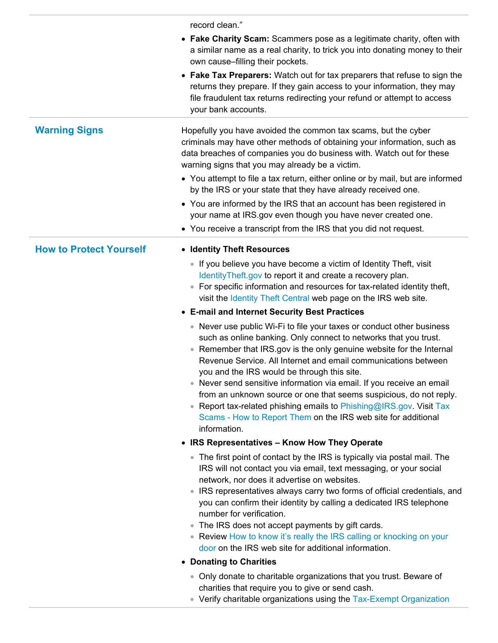record clean."

| <b>Warning Signs</b><br>Hopefully you have avoided the common tax scams, but the cyber<br>criminals may have other methods of obtaining your information, such as<br>data breaches of companies you do business with. Watch out for these<br>warning signs that you may already be a victim.<br>• You attempt to file a tax return, either online or by mail, but are informed<br>by the IRS or your state that they have already received one.<br>• You are informed by the IRS that an account has been registered in<br>your name at IRS.gov even though you have never created one.<br>• You receive a transcript from the IRS that you did not request.<br><b>How to Protect Yourself</b><br>• Identity Theft Resources<br>• If you believe you have become a victim of Identity Theft, visit<br>IdentityTheft.gov to report it and create a recovery plan.<br>• For specific information and resources for tax-related identity theft,<br>visit the Identity Theft Central web page on the IRS web site. |
|----------------------------------------------------------------------------------------------------------------------------------------------------------------------------------------------------------------------------------------------------------------------------------------------------------------------------------------------------------------------------------------------------------------------------------------------------------------------------------------------------------------------------------------------------------------------------------------------------------------------------------------------------------------------------------------------------------------------------------------------------------------------------------------------------------------------------------------------------------------------------------------------------------------------------------------------------------------------------------------------------------------|
|                                                                                                                                                                                                                                                                                                                                                                                                                                                                                                                                                                                                                                                                                                                                                                                                                                                                                                                                                                                                                |
|                                                                                                                                                                                                                                                                                                                                                                                                                                                                                                                                                                                                                                                                                                                                                                                                                                                                                                                                                                                                                |
|                                                                                                                                                                                                                                                                                                                                                                                                                                                                                                                                                                                                                                                                                                                                                                                                                                                                                                                                                                                                                |
| • E-mail and Internet Security Best Practices<br>• Never use public Wi-Fi to file your taxes or conduct other business<br>such as online banking. Only connect to networks that you trust.<br>Remember that IRS.gov is the only genuine website for the Internal<br>$\bullet$<br>Revenue Service. All Internet and email communications between<br>you and the IRS would be through this site.<br>• Never send sensitive information via email. If you receive an email<br>from an unknown source or one that seems suspicious, do not reply.<br>Report tax-related phishing emails to Phishing@IRS.gov. Visit Tax<br>Scams - How to Report Them on the IRS web site for additional<br>information.                                                                                                                                                                                                                                                                                                            |
| • IRS Representatives - Know How They Operate                                                                                                                                                                                                                                                                                                                                                                                                                                                                                                                                                                                                                                                                                                                                                                                                                                                                                                                                                                  |
| • The first point of contact by the IRS is typically via postal mail. The<br>IRS will not contact you via email, text messaging, or your social<br>network, nor does it advertise on websites.<br>IRS representatives always carry two forms of official credentials, and<br>you can confirm their identity by calling a dedicated IRS telephone<br>number for verification.<br>The IRS does not accept payments by gift cards.<br>• Review How to know it's really the IRS calling or knocking on your<br>door on the IRS web site for additional information.                                                                                                                                                                                                                                                                                                                                                                                                                                                |
| • Donating to Charities                                                                                                                                                                                                                                                                                                                                                                                                                                                                                                                                                                                                                                                                                                                                                                                                                                                                                                                                                                                        |
| • Only donate to charitable organizations that you trust. Beware of<br>charities that require you to give or send cash.<br>• Verify charitable organizations using the Tax-Exempt Organization                                                                                                                                                                                                                                                                                                                                                                                                                                                                                                                                                                                                                                                                                                                                                                                                                 |